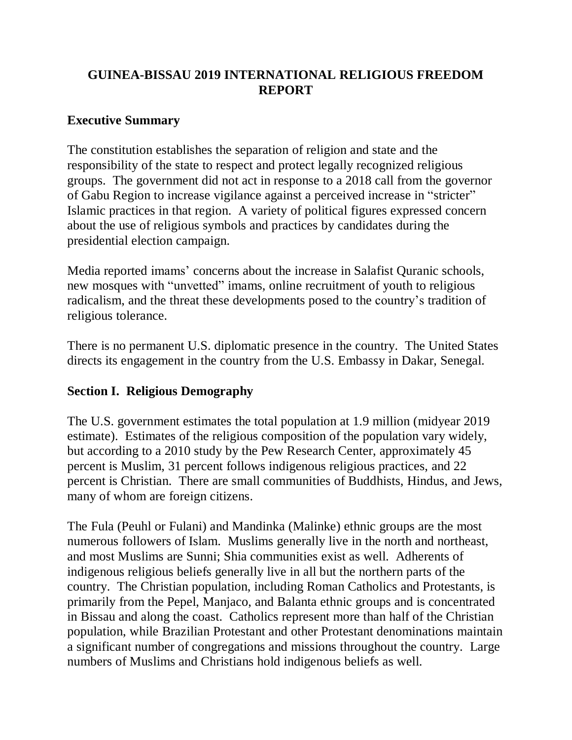# **GUINEA-BISSAU 2019 INTERNATIONAL RELIGIOUS FREEDOM REPORT**

### **Executive Summary**

The constitution establishes the separation of religion and state and the responsibility of the state to respect and protect legally recognized religious groups. The government did not act in response to a 2018 call from the governor of Gabu Region to increase vigilance against a perceived increase in "stricter" Islamic practices in that region. A variety of political figures expressed concern about the use of religious symbols and practices by candidates during the presidential election campaign.

Media reported imams' concerns about the increase in Salafist Quranic schools, new mosques with "unvetted" imams, online recruitment of youth to religious radicalism, and the threat these developments posed to the country's tradition of religious tolerance.

There is no permanent U.S. diplomatic presence in the country. The United States directs its engagement in the country from the U.S. Embassy in Dakar, Senegal.

# **Section I. Religious Demography**

The U.S. government estimates the total population at 1.9 million (midyear 2019 estimate). Estimates of the religious composition of the population vary widely, but according to a 2010 study by the Pew Research Center, approximately 45 percent is Muslim, 31 percent follows indigenous religious practices, and 22 percent is Christian. There are small communities of Buddhists, Hindus, and Jews, many of whom are foreign citizens.

The Fula (Peuhl or Fulani) and Mandinka (Malinke) ethnic groups are the most numerous followers of Islam. Muslims generally live in the north and northeast, and most Muslims are Sunni; Shia communities exist as well. Adherents of indigenous religious beliefs generally live in all but the northern parts of the country. The Christian population, including Roman Catholics and Protestants, is primarily from the Pepel, Manjaco, and Balanta ethnic groups and is concentrated in Bissau and along the coast. Catholics represent more than half of the Christian population, while Brazilian Protestant and other Protestant denominations maintain a significant number of congregations and missions throughout the country. Large numbers of Muslims and Christians hold indigenous beliefs as well.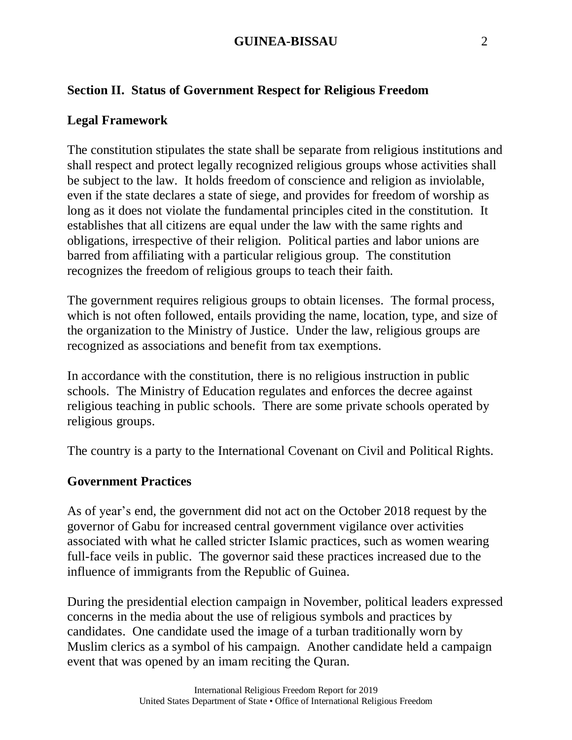# **Section II. Status of Government Respect for Religious Freedom**

### **Legal Framework**

The constitution stipulates the state shall be separate from religious institutions and shall respect and protect legally recognized religious groups whose activities shall be subject to the law. It holds freedom of conscience and religion as inviolable, even if the state declares a state of siege, and provides for freedom of worship as long as it does not violate the fundamental principles cited in the constitution. It establishes that all citizens are equal under the law with the same rights and obligations, irrespective of their religion. Political parties and labor unions are barred from affiliating with a particular religious group. The constitution recognizes the freedom of religious groups to teach their faith.

The government requires religious groups to obtain licenses. The formal process, which is not often followed, entails providing the name, location, type, and size of the organization to the Ministry of Justice. Under the law, religious groups are recognized as associations and benefit from tax exemptions.

In accordance with the constitution, there is no religious instruction in public schools. The Ministry of Education regulates and enforces the decree against religious teaching in public schools. There are some private schools operated by religious groups.

The country is a party to the International Covenant on Civil and Political Rights.

#### **Government Practices**

As of year's end, the government did not act on the October 2018 request by the governor of Gabu for increased central government vigilance over activities associated with what he called stricter Islamic practices, such as women wearing full-face veils in public. The governor said these practices increased due to the influence of immigrants from the Republic of Guinea.

During the presidential election campaign in November, political leaders expressed concerns in the media about the use of religious symbols and practices by candidates. One candidate used the image of a turban traditionally worn by Muslim clerics as a symbol of his campaign. Another candidate held a campaign event that was opened by an imam reciting the Quran.